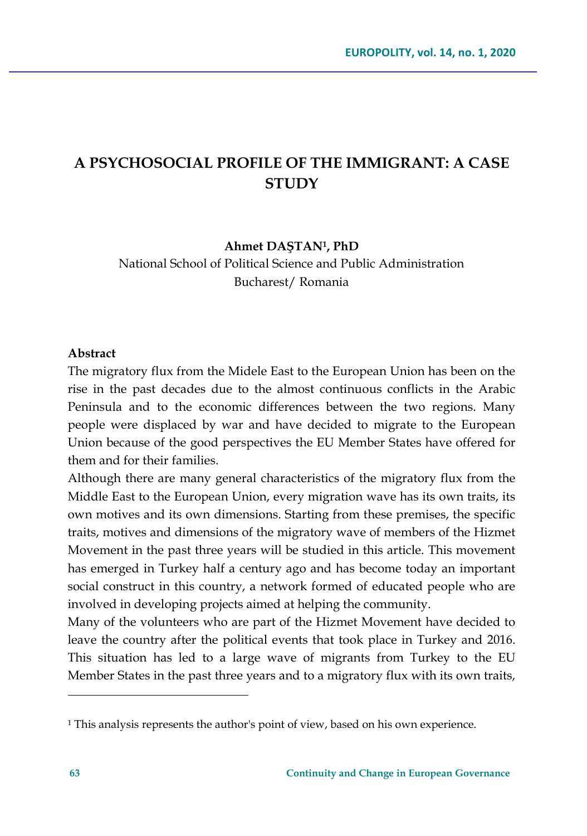## **A PSYCHOSOCIAL PROFILE OF THE IMMIGRANT: A CASE STUDY**

#### **Ahmet DAŞTAN1, PhD**

National School of Political Science and Public Administration Bucharest/ Romania

#### **Abstract**

The migratory flux from the Midele East to the European Union has been on the rise in the past decades due to the almost continuous conflicts in the Arabic Peninsula and to the economic differences between the two regions. Many people were displaced by war and have decided to migrate to the European Union because of the good perspectives the EU Member States have offered for them and for their families.

Although there are many general characteristics of the migratory flux from the Middle East to the European Union, every migration wave has its own traits, its own motives and its own dimensions. Starting from these premises, the specific traits, motives and dimensions of the migratory wave of members of the Hizmet Movement in the past three years will be studied in this article. This movement has emerged in Turkey half a century ago and has become today an important social construct in this country, a network formed of educated people who are involved in developing projects aimed at helping the community.

Many of the volunteers who are part of the Hizmet Movement have decided to leave the country after the political events that took place in Turkey and 2016. This situation has led to a large wave of migrants from Turkey to the EU Member States in the past three years and to a migratory flux with its own traits,

<sup>1</sup> This analysis represents the author's point of view, based on his own experience.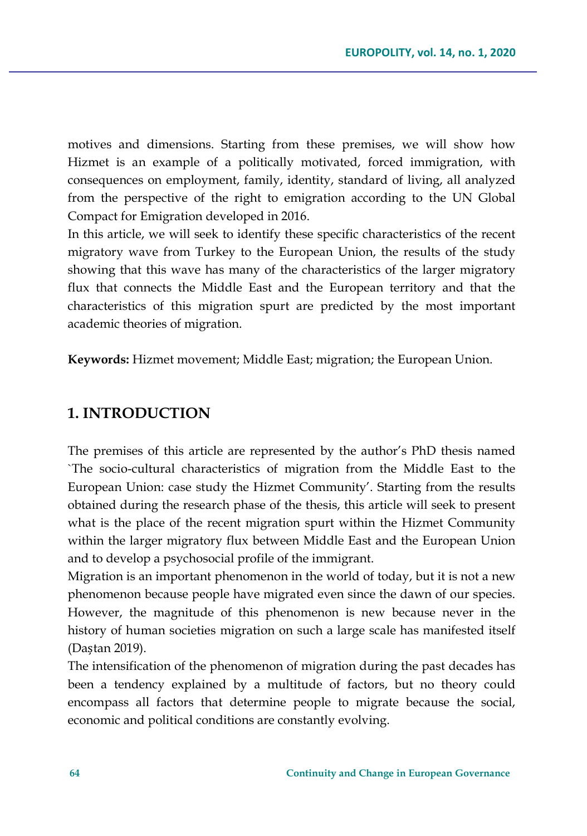motives and dimensions. Starting from these premises, we will show how Hizmet is an example of a politically motivated, forced immigration, with consequences on employment, family, identity, standard of living, all analyzed from the perspective of the right to emigration according to the UN Global Compact for Emigration developed in 2016.

In this article, we will seek to identify these specific characteristics of the recent migratory wave from Turkey to the European Union, the results of the study showing that this wave has many of the characteristics of the larger migratory flux that connects the Middle East and the European territory and that the characteristics of this migration spurt are predicted by the most important academic theories of migration.

**Keywords:** Hizmet movement; Middle East; migration; the European Union.

#### **1. INTRODUCTION**

The premises of this article are represented by the author's PhD thesis named `The socio-cultural characteristics of migration from the Middle East to the European Union: case study the Hizmet Community'. Starting from the results obtained during the research phase of the thesis, this article will seek to present what is the place of the recent migration spurt within the Hizmet Community within the larger migratory flux between Middle East and the European Union and to develop a psychosocial profile of the immigrant.

Migration is an important phenomenon in the world of today, but it is not a new phenomenon because people have migrated even since the dawn of our species. However, the magnitude of this phenomenon is new because never in the history of human societies migration on such a large scale has manifested itself (Daștan 2019).

The intensification of the phenomenon of migration during the past decades has been a tendency explained by a multitude of factors, but no theory could encompass all factors that determine people to migrate because the social, economic and political conditions are constantly evolving.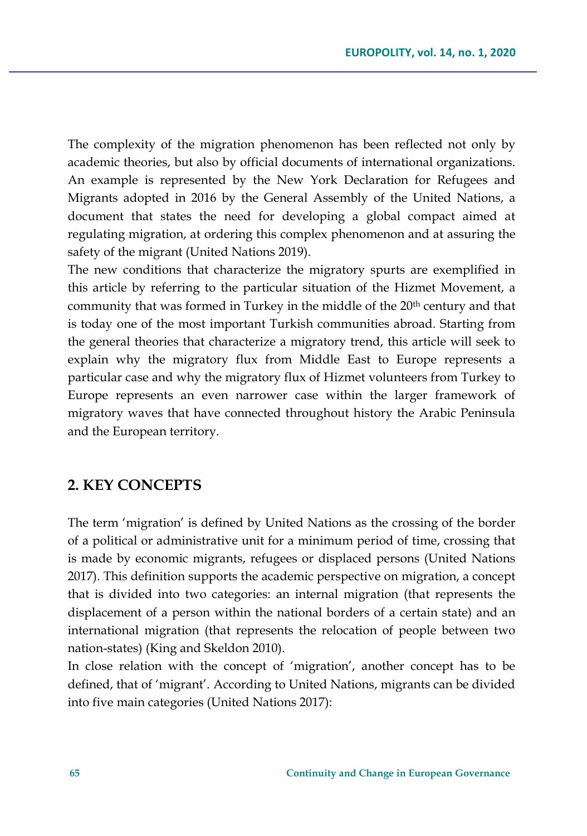The complexity of the migration phenomenon has been reflected not only by academic theories, but also by official documents of international organizations. An example is represented by the New York Declaration for Refugees and Migrants adopted in 2016 by the General Assembly of the United Nations, a document that states the need for developing a global compact aimed at regulating migration, at ordering this complex phenomenon and at assuring the safety of the migrant (United Nations 2019).

The new conditions that characterize the migratory spurts are exemplified in this article by referring to the particular situation of the Hizmet Movement, a community that was formed in Turkey in the middle of the 20<sup>th</sup> century and that is today one of the most important Turkish communities abroad. Starting from the general theories that characterize a migratory trend, this article will seek to explain why the migratory flux from Middle East to Europe represents a particular case and why the migratory flux of Hizmet volunteers from Turkey to Europe represents an even narrower case within the larger framework of migratory waves that have connected throughout history the Arabic Peninsula and the European territory.

### **2. KEY CONCEPTS**

The term 'migration' is defined by United Nations as the crossing of the border of a political or administrative unit for a minimum period of time, crossing that is made by economic migrants, refugees or displaced persons (United Nations 2017). This definition supports the academic perspective on migration, a concept that is divided into two categories: an internal migration (that represents the displacement of a person within the national borders of a certain state) and an international migration (that represents the relocation of people between two nation-states) (King and Skeldon 2010).

In close relation with the concept of 'migration', another concept has to be defined, that of 'migrant'. According to United Nations, migrants can be divided into five main categories (United Nations 2017):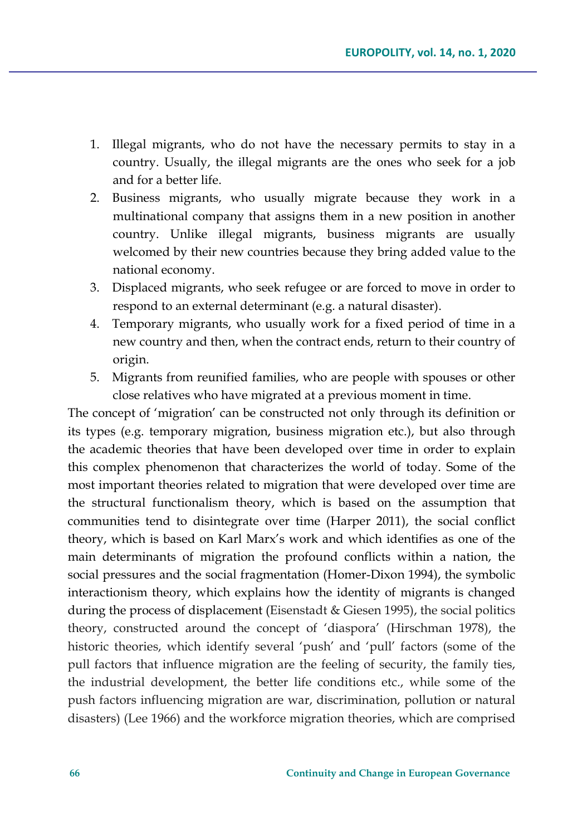- 1. Illegal migrants, who do not have the necessary permits to stay in a country. Usually, the illegal migrants are the ones who seek for a job and for a better life.
- 2. Business migrants, who usually migrate because they work in a multinational company that assigns them in a new position in another country. Unlike illegal migrants, business migrants are usually welcomed by their new countries because they bring added value to the national economy.
- 3. Displaced migrants, who seek refugee or are forced to move in order to respond to an external determinant (e.g. a natural disaster).
- 4. Temporary migrants, who usually work for a fixed period of time in a new country and then, when the contract ends, return to their country of origin.
- 5. Migrants from reunified families, who are people with spouses or other close relatives who have migrated at a previous moment in time.

The concept of 'migration' can be constructed not only through its definition or its types (e.g. temporary migration, business migration etc.), but also through the academic theories that have been developed over time in order to explain this complex phenomenon that characterizes the world of today. Some of the most important theories related to migration that were developed over time are the structural functionalism theory, which is based on the assumption that communities tend to disintegrate over time (Harper 2011), the social conflict theory, which is based on Karl Marx's work and which identifies as one of the main determinants of migration the profound conflicts within a nation, the social pressures and the social fragmentation (Homer-Dixon 1994), the symbolic interactionism theory, which explains how the identity of migrants is changed during the process of displacement (Eisenstadt & Giesen 1995), the social politics theory, constructed around the concept of 'diaspora' (Hirschman 1978), the historic theories, which identify several 'push' and 'pull' factors (some of the pull factors that influence migration are the feeling of security, the family ties, the industrial development, the better life conditions etc., while some of the push factors influencing migration are war, discrimination, pollution or natural disasters) (Lee 1966) and the workforce migration theories, which are comprised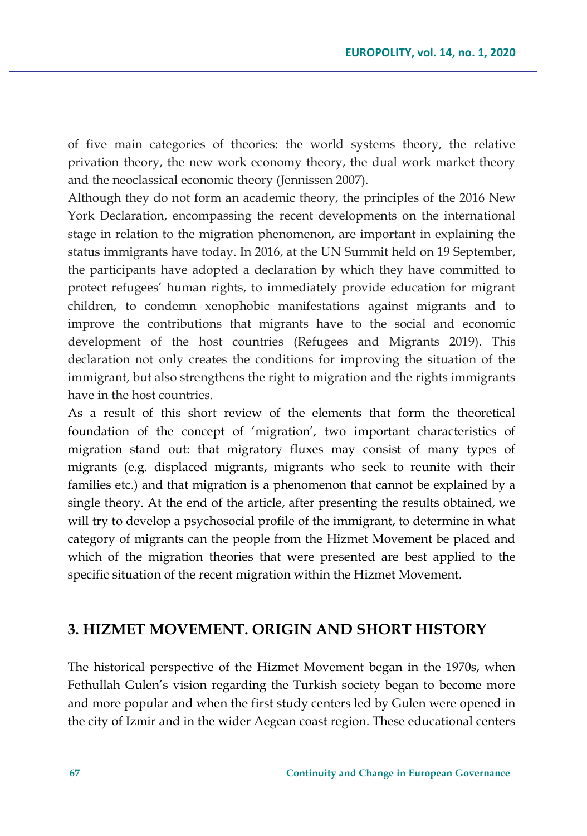of five main categories of theories: the world systems theory, the relative privation theory, the new work economy theory, the dual work market theory and the neoclassical economic theory (Jennissen 2007).

Although they do not form an academic theory, the principles of the 2016 New York Declaration, encompassing the recent developments on the international stage in relation to the migration phenomenon, are important in explaining the status immigrants have today. In 2016, at the UN Summit held on 19 September, the participants have adopted a declaration by which they have committed to protect refugees' human rights, to immediately provide education for migrant children, to condemn xenophobic manifestations against migrants and to improve the contributions that migrants have to the social and economic development of the host countries (Refugees and Migrants 2019). This declaration not only creates the conditions for improving the situation of the immigrant, but also strengthens the right to migration and the rights immigrants have in the host countries.

As a result of this short review of the elements that form the theoretical foundation of the concept of 'migration', two important characteristics of migration stand out: that migratory fluxes may consist of many types of migrants (e.g. displaced migrants, migrants who seek to reunite with their families etc.) and that migration is a phenomenon that cannot be explained by a single theory. At the end of the article, after presenting the results obtained, we will try to develop a psychosocial profile of the immigrant, to determine in what category of migrants can the people from the Hizmet Movement be placed and which of the migration theories that were presented are best applied to the specific situation of the recent migration within the Hizmet Movement.

### **3. HIZMET MOVEMENT. ORIGIN AND SHORT HISTORY**

The historical perspective of the Hizmet Movement began in the 1970s, when Fethullah Gulen's vision regarding the Turkish society began to become more and more popular and when the first study centers led by Gulen were opened in the city of Izmir and in the wider Aegean coast region. These educational centers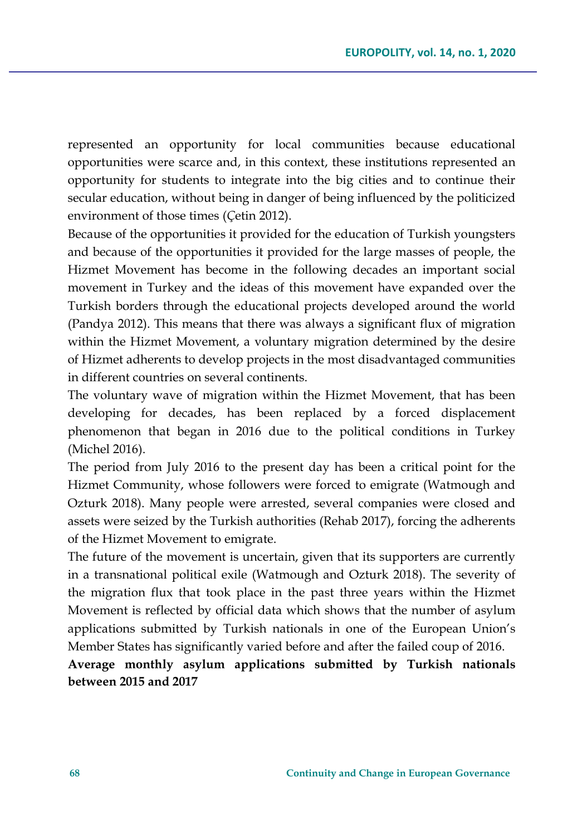represented an opportunity for local communities because educational opportunities were scarce and, in this context, these institutions represented an opportunity for students to integrate into the big cities and to continue their secular education, without being in danger of being influenced by the politicized environment of those times (*Ç*etin 2012).

Because of the opportunities it provided for the education of Turkish youngsters and because of the opportunities it provided for the large masses of people, the Hizmet Movement has become in the following decades an important social movement in Turkey and the ideas of this movement have expanded over the Turkish borders through the educational projects developed around the world (Pandya 2012). This means that there was always a significant flux of migration within the Hizmet Movement, a voluntary migration determined by the desire of Hizmet adherents to develop projects in the most disadvantaged communities in different countries on several continents.

The voluntary wave of migration within the Hizmet Movement, that has been developing for decades, has been replaced by a forced displacement phenomenon that began in 2016 due to the political conditions in Turkey (Michel 2016).

The period from July 2016 to the present day has been a critical point for the Hizmet Community, whose followers were forced to emigrate (Watmough and Ozturk 2018). Many people were arrested, several companies were closed and assets were seized by the Turkish authorities (Rehab 2017), forcing the adherents of the Hizmet Movement to emigrate.

The future of the movement is uncertain, given that its supporters are currently in a transnational political exile (Watmough and Ozturk 2018). The severity of the migration flux that took place in the past three years within the Hizmet Movement is reflected by official data which shows that the number of asylum applications submitted by Turkish nationals in one of the European Union's Member States has significantly varied before and after the failed coup of 2016.

### **Average monthly asylum applications submitted by Turkish nationals between 2015 and 2017**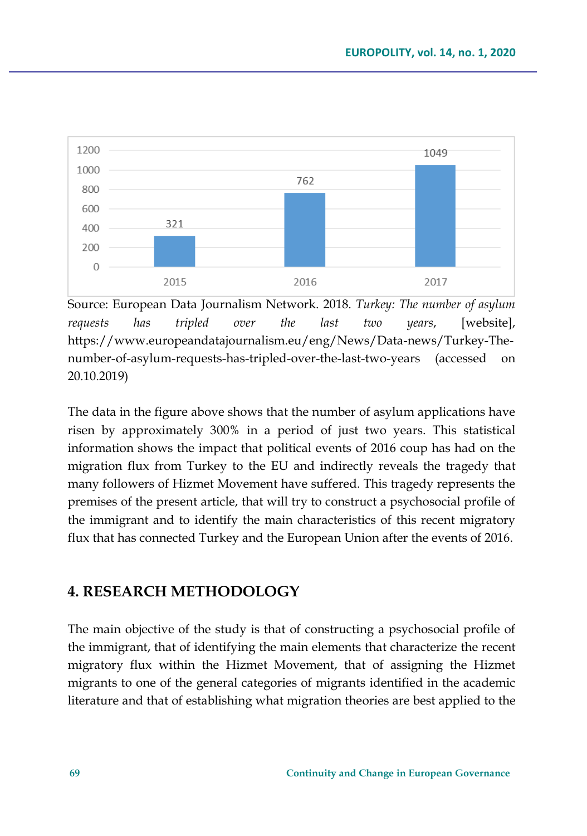

Source: European Data Journalism Network. 2018. *Turkey: The number of asylum requests has tripled over the last two years*, [website], https://www.europeandatajournalism.eu/eng/News/Data-news/Turkey-Thenumber-of-asylum-requests-has-tripled-over-the-last-two-years (accessed on 20.10.2019)

The data in the figure above shows that the number of asylum applications have risen by approximately 300% in a period of just two years. This statistical information shows the impact that political events of 2016 coup has had on the migration flux from Turkey to the EU and indirectly reveals the tragedy that many followers of Hizmet Movement have suffered. This tragedy represents the premises of the present article, that will try to construct a psychosocial profile of the immigrant and to identify the main characteristics of this recent migratory flux that has connected Turkey and the European Union after the events of 2016.

## **4. RESEARCH METHODOLOGY**

The main objective of the study is that of constructing a psychosocial profile of the immigrant, that of identifying the main elements that characterize the recent migratory flux within the Hizmet Movement, that of assigning the Hizmet migrants to one of the general categories of migrants identified in the academic literature and that of establishing what migration theories are best applied to the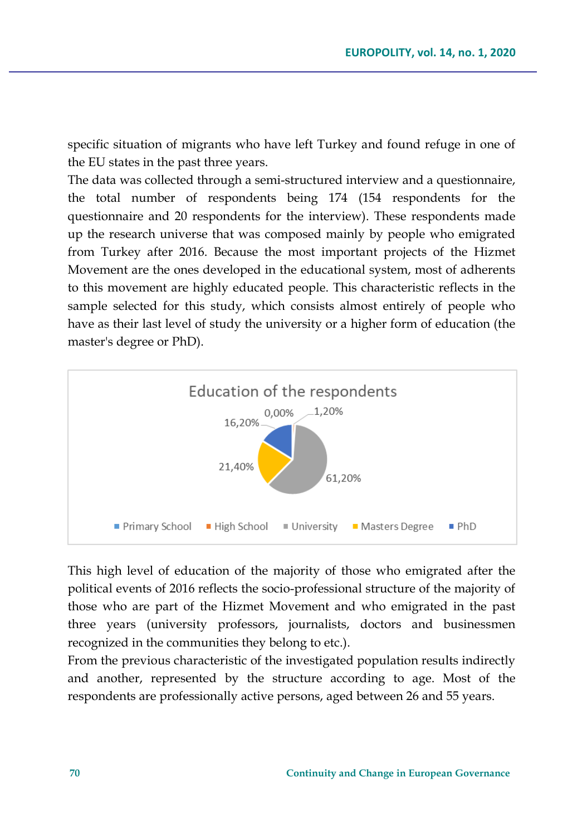specific situation of migrants who have left Turkey and found refuge in one of the EU states in the past three years.

The data was collected through a semi-structured interview and a questionnaire, the total number of respondents being 174 (154 respondents for the questionnaire and 20 respondents for the interview). These respondents made up the research universe that was composed mainly by people who emigrated from Turkey after 2016. Because the most important projects of the Hizmet Movement are the ones developed in the educational system, most of adherents to this movement are highly educated people. This characteristic reflects in the sample selected for this study, which consists almost entirely of people who have as their last level of study the university or a higher form of education (the master's degree or PhD).



This high level of education of the majority of those who emigrated after the political events of 2016 reflects the socio-professional structure of the majority of those who are part of the Hizmet Movement and who emigrated in the past three years (university professors, journalists, doctors and businessmen recognized in the communities they belong to etc.).

From the previous characteristic of the investigated population results indirectly and another, represented by the structure according to age. Most of the respondents are professionally active persons, aged between 26 and 55 years.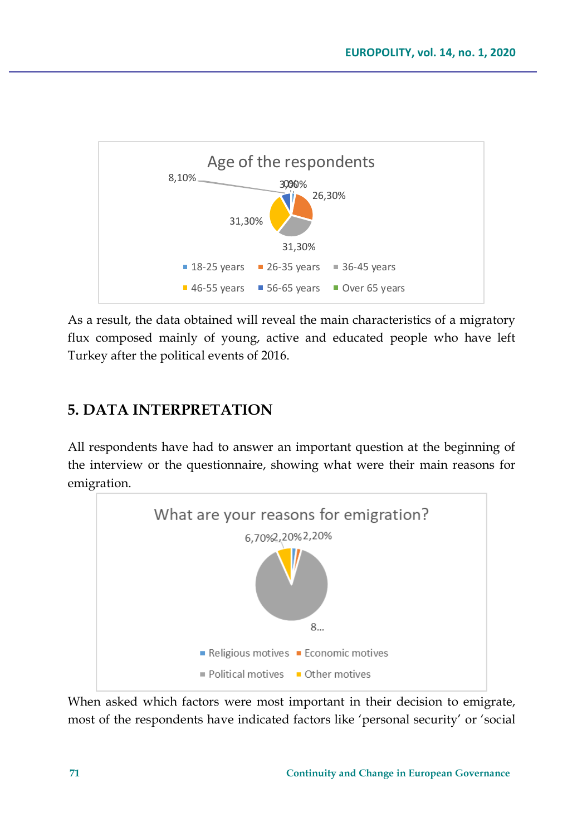

As a result, the data obtained will reveal the main characteristics of a migratory flux composed mainly of young, active and educated people who have left Turkey after the political events of 2016.

# **5. DATA INTERPRETATION**

All respondents have had to answer an important question at the beginning of the interview or the questionnaire, showing what were their main reasons for emigration.



When asked which factors were most important in their decision to emigrate, most of the respondents have indicated factors like 'personal security' or 'social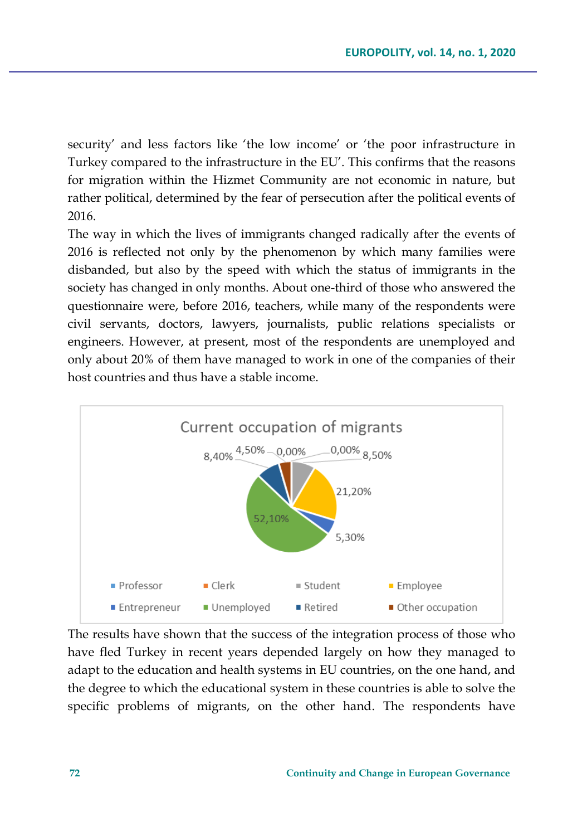security' and less factors like 'the low income' or 'the poor infrastructure in Turkey compared to the infrastructure in the EU'. This confirms that the reasons for migration within the Hizmet Community are not economic in nature, but rather political, determined by the fear of persecution after the political events of 2016.

The way in which the lives of immigrants changed radically after the events of 2016 is reflected not only by the phenomenon by which many families were disbanded, but also by the speed with which the status of immigrants in the society has changed in only months. About one-third of those who answered the questionnaire were, before 2016, teachers, while many of the respondents were civil servants, doctors, lawyers, journalists, public relations specialists or engineers. However, at present, most of the respondents are unemployed and only about 20% of them have managed to work in one of the companies of their host countries and thus have a stable income.



The results have shown that the success of the integration process of those who have fled Turkey in recent years depended largely on how they managed to adapt to the education and health systems in EU countries, on the one hand, and the degree to which the educational system in these countries is able to solve the specific problems of migrants, on the other hand. The respondents have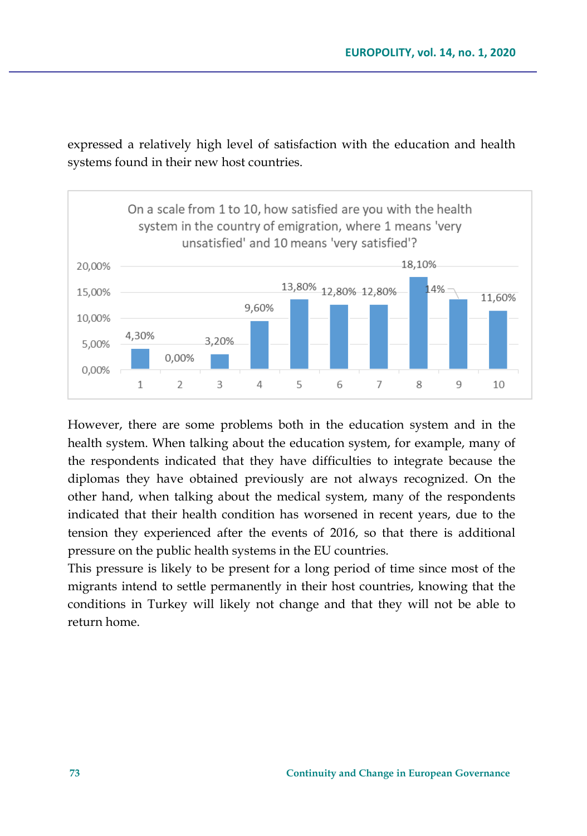

expressed a relatively high level of satisfaction with the education and health systems found in their new host countries.

However, there are some problems both in the education system and in the health system. When talking about the education system, for example, many of the respondents indicated that they have difficulties to integrate because the diplomas they have obtained previously are not always recognized. On the other hand, when talking about the medical system, many of the respondents indicated that their health condition has worsened in recent years, due to the tension they experienced after the events of 2016, so that there is additional pressure on the public health systems in the EU countries.

This pressure is likely to be present for a long period of time since most of the migrants intend to settle permanently in their host countries, knowing that the conditions in Turkey will likely not change and that they will not be able to return home.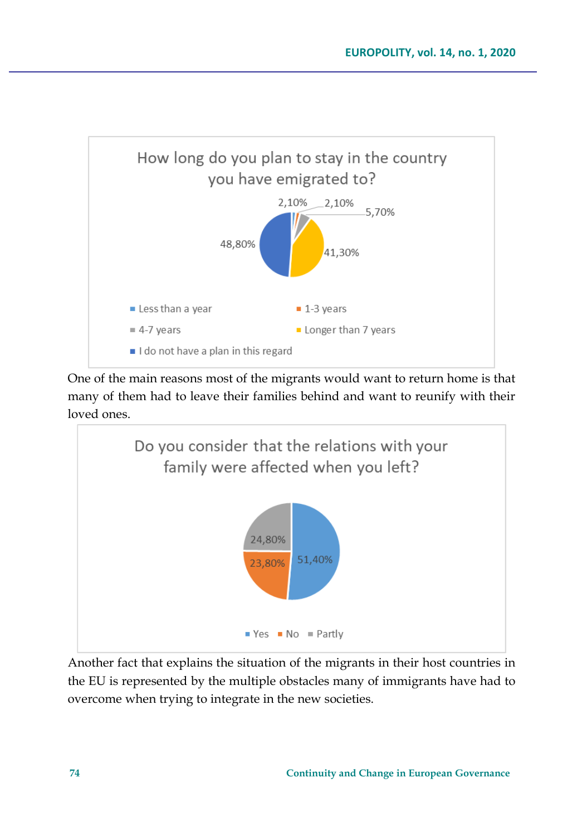

One of the main reasons most of the migrants would want to return home is that many of them had to leave their families behind and want to reunify with their loved ones.



Another fact that explains the situation of the migrants in their host countries in the EU is represented by the multiple obstacles many of immigrants have had to overcome when trying to integrate in the new societies.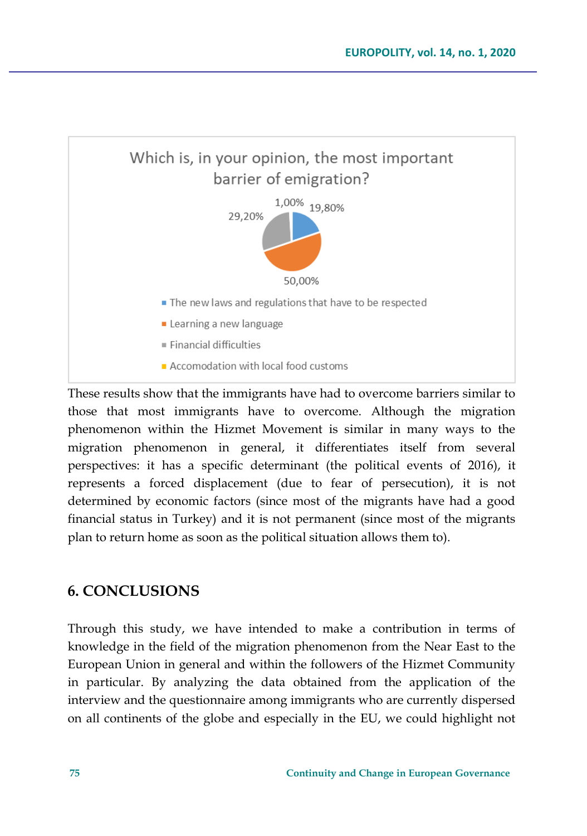

These results show that the immigrants have had to overcome barriers similar to those that most immigrants have to overcome. Although the migration phenomenon within the Hizmet Movement is similar in many ways to the migration phenomenon in general, it differentiates itself from several perspectives: it has a specific determinant (the political events of 2016), it represents a forced displacement (due to fear of persecution), it is not determined by economic factors (since most of the migrants have had a good financial status in Turkey) and it is not permanent (since most of the migrants plan to return home as soon as the political situation allows them to).

## **6. CONCLUSIONS**

Through this study, we have intended to make a contribution in terms of knowledge in the field of the migration phenomenon from the Near East to the European Union in general and within the followers of the Hizmet Community in particular. By analyzing the data obtained from the application of the interview and the questionnaire among immigrants who are currently dispersed on all continents of the globe and especially in the EU, we could highlight not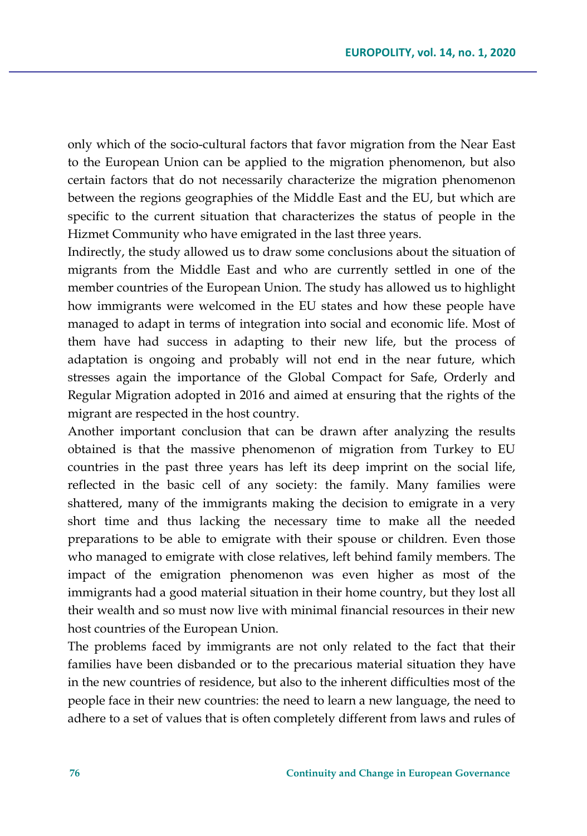only which of the socio-cultural factors that favor migration from the Near East to the European Union can be applied to the migration phenomenon, but also certain factors that do not necessarily characterize the migration phenomenon between the regions geographies of the Middle East and the EU, but which are specific to the current situation that characterizes the status of people in the Hizmet Community who have emigrated in the last three years.

Indirectly, the study allowed us to draw some conclusions about the situation of migrants from the Middle East and who are currently settled in one of the member countries of the European Union. The study has allowed us to highlight how immigrants were welcomed in the EU states and how these people have managed to adapt in terms of integration into social and economic life. Most of them have had success in adapting to their new life, but the process of adaptation is ongoing and probably will not end in the near future, which stresses again the importance of the Global Compact for Safe, Orderly and Regular Migration adopted in 2016 and aimed at ensuring that the rights of the migrant are respected in the host country.

Another important conclusion that can be drawn after analyzing the results obtained is that the massive phenomenon of migration from Turkey to EU countries in the past three years has left its deep imprint on the social life, reflected in the basic cell of any society: the family. Many families were shattered, many of the immigrants making the decision to emigrate in a very short time and thus lacking the necessary time to make all the needed preparations to be able to emigrate with their spouse or children. Even those who managed to emigrate with close relatives, left behind family members. The impact of the emigration phenomenon was even higher as most of the immigrants had a good material situation in their home country, but they lost all their wealth and so must now live with minimal financial resources in their new host countries of the European Union.

The problems faced by immigrants are not only related to the fact that their families have been disbanded or to the precarious material situation they have in the new countries of residence, but also to the inherent difficulties most of the people face in their new countries: the need to learn a new language, the need to adhere to a set of values that is often completely different from laws and rules of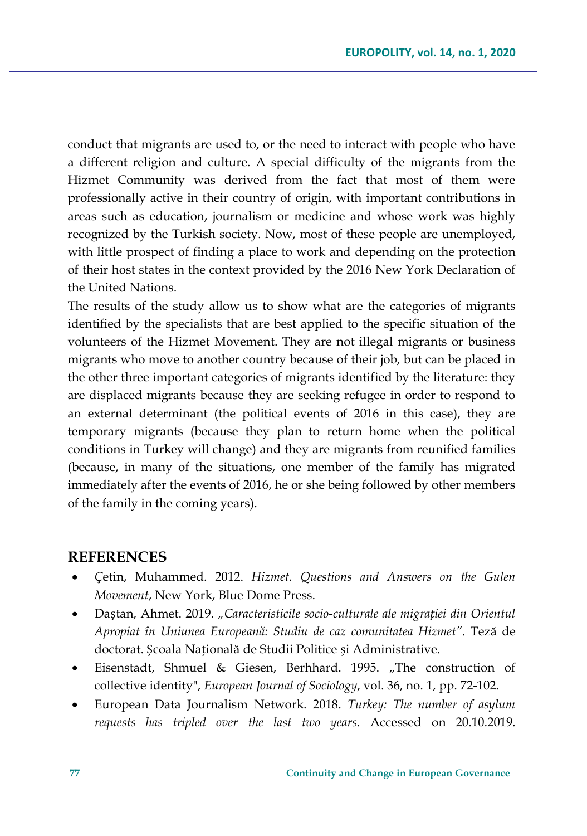conduct that migrants are used to, or the need to interact with people who have a different religion and culture. A special difficulty of the migrants from the Hizmet Community was derived from the fact that most of them were professionally active in their country of origin, with important contributions in areas such as education, journalism or medicine and whose work was highly recognized by the Turkish society. Now, most of these people are unemployed, with little prospect of finding a place to work and depending on the protection of their host states in the context provided by the 2016 New York Declaration of the United Nations.

The results of the study allow us to show what are the categories of migrants identified by the specialists that are best applied to the specific situation of the volunteers of the Hizmet Movement. They are not illegal migrants or business migrants who move to another country because of their job, but can be placed in the other three important categories of migrants identified by the literature: they are displaced migrants because they are seeking refugee in order to respond to an external determinant (the political events of 2016 in this case), they are temporary migrants (because they plan to return home when the political conditions in Turkey will change) and they are migrants from reunified families (because, in many of the situations, one member of the family has migrated immediately after the events of 2016, he or she being followed by other members of the family in the coming years).

#### **REFERENCES**

- *Ç*etin, Muhammed. 2012. *Hizmet. Questions and Answers on the Gulen Movement*, New York, Blue Dome Press.
- Daștan, Ahmet. 2019. *"Caracteristicile socio-culturale ale migrației din Orientul Apropiat în Uniunea Europeană: Studiu de caz comunitatea Hizmet"*. Teză de doctorat. Școala Națională de Studii Politice și Administrative.
- Eisenstadt, Shmuel & Giesen, Berhhard. 1995. "The construction of collective identity", *European Journal of Sociology*, vol. 36, no. 1, pp. 72-102.
- European Data Journalism Network. 2018. *Turkey: The number of asylum requests has tripled over the last two years*. Accessed on 20.10.2019.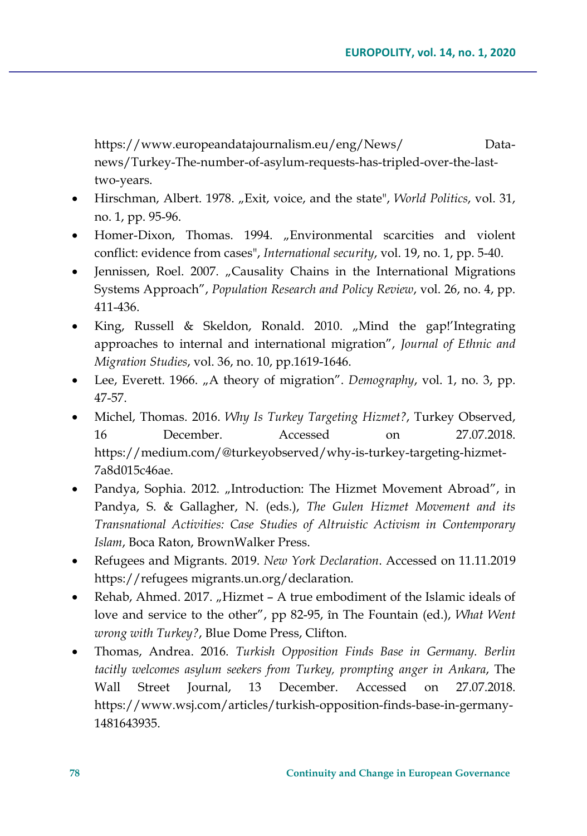https://www.europeandatajournalism.eu/eng/News/ Datanews/Turkey-The-number-of-asylum-requests-has-tripled-over-the-lasttwo-years.

- Hirschman, Albert. 1978. "Exit, voice, and the state", *World Politics*, vol. 31, no. 1, pp. 95-96.
- Homer-Dixon, Thomas. 1994. "Environmental scarcities and violent conflict: evidence from cases", *International security*, vol. 19, no. 1, pp. 5-40.
- Jennissen, Roel. 2007. "Causality Chains in the International Migrations Systems Approach", *Population Research and Policy Review*, vol. 26, no. 4, pp. 411-436.
- King, Russell & Skeldon, Ronald. 2010. "Mind the gap!'Integrating approaches to internal and international migration", *Journal of Ethnic and Migration Studies*, vol. 36, no. 10, pp.1619-1646.
- Lee, Everett. 1966. "A theory of migration". *Demography*, vol. 1, no. 3, pp. 47-57.
- Michel, Thomas. 2016. *Why Is Turkey Targeting Hizmet?*, Turkey Observed, 16 December. Accessed on 27.07.2018. https://medium.com/@turkeyobserved/why-is-turkey-targeting-hizmet-7a8d015c46ae.
- Pandya, Sophia. 2012. "Introduction: The Hizmet Movement Abroad", in Pandya, S. & Gallagher, N. (eds.), *The Gulen Hizmet Movement and its Transnational Activities: Case Studies of Altruistic Activism in Contemporary Islam*, Boca Raton, BrownWalker Press.
- Refugees and Migrants. 2019. *New York Declaration*. Accessed on 11.11.2019 https://refugees migrants.un.org/declaration.
- Rehab, Ahmed. 2017. "Hizmet  $-$  A true embodiment of the Islamic ideals of love and service to the other", pp 82-95, în The Fountain (ed.), *What Went wrong with Turkey?*, Blue Dome Press, Clifton.
- Thomas, Andrea. 2016. *Turkish Opposition Finds Base in Germany. Berlin tacitly welcomes asylum seekers from Turkey, prompting anger in Ankara*, The Wall Street Journal, 13 December. Accessed on 27.07.2018. https://www.wsj.com/articles/turkish-opposition-finds-base-in-germany-1481643935.